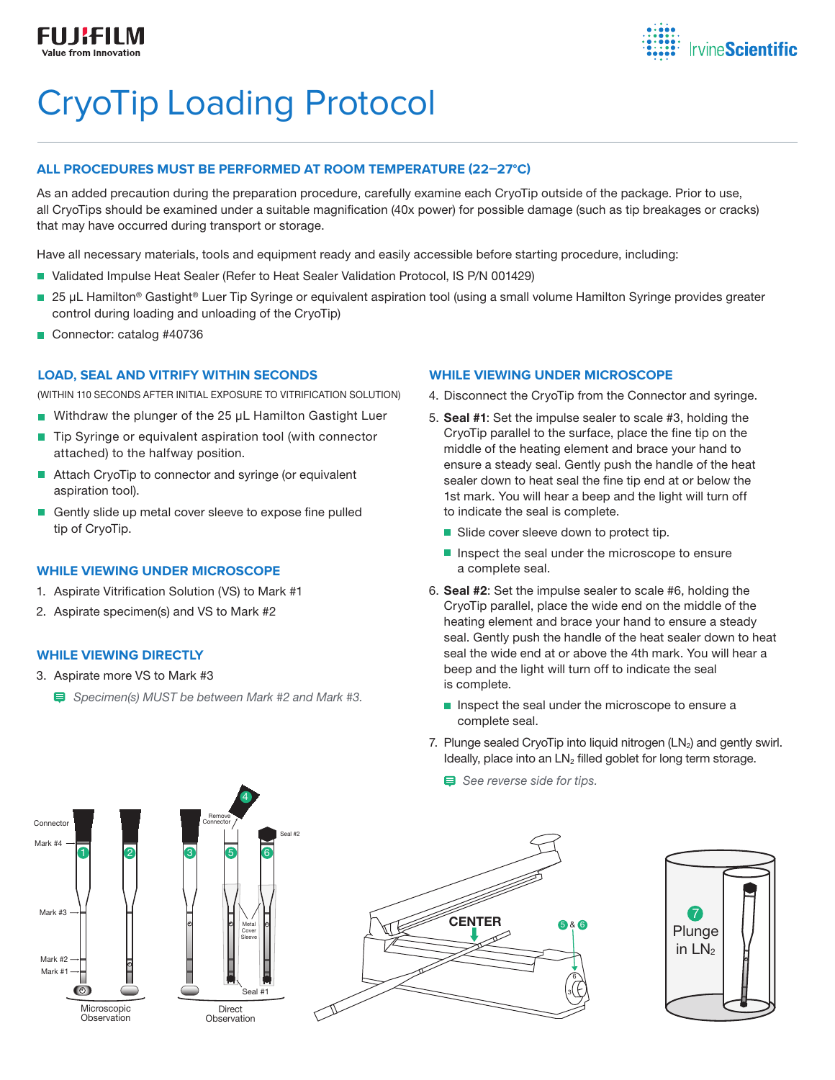

# CryoTip Loading Protocol

### **ALL PROCEDURES MUST BE PERFORMED AT ROOM TEMPERATURE (22–27°C)**

As an added precaution during the preparation procedure, carefully examine each CryoTip outside of the package. Prior to use, all CryoTips should be examined under a suitable magnification (40x power) for possible damage (such as tip breakages or cracks) that may have occurred during transport or storage.

Have all necessary materials, tools and equipment ready and easily accessible before starting procedure, including:

- Validated Impulse Heat Sealer (Refer to Heat Sealer Validation Protocol, IS P/N 001429)
- 25 µL Hamilton<sup>®</sup> Gastight<sup>®</sup> Luer Tip Syringe or equivalent aspiration tool (using a small volume Hamilton Syringe provides greater control during loading and unloading of the CryoTip)
- Connector: catalog #40736

### **LOAD, SEAL AND VITRIFY WITHIN SECONDS**

(WITHIN 110 SECONDS AFTER INITIAL EXPOSURE TO VITRIFICATION SOLUTION)

- Withdraw the plunger of the 25  $\mu$ L Hamilton Gastight Luer
- Tip Syringe or equivalent aspiration tool (with connector attached) to the halfway position.
- Attach CryoTip to connector and syringe (or equivalent aspiration tool).
- Gently slide up metal cover sleeve to expose fine pulled tip of CryoTip.

### **WHILE VIEWING UNDER MICROSCOPE**

- 1. Aspirate Vitrification Solution (VS) to Mark #1
- 2. Aspirate specimen(s) and VS to Mark #2

### **WHILE VIEWING DIRECTLY**

- 3. Aspirate more VS to Mark #3
	- *Specimen(s) MUST be between Mark #2 and Mark #3.*

### **WHILE VIEWING UNDER MICROSCOPE**

- 4. Disconnect the CryoTip from the Connector and syringe.
- 5. Seal #1: Set the impulse sealer to scale #3, holding the CryoTip parallel to the surface, place the fine tip on the middle of the heating element and brace your hand to ensure a steady seal. Gently push the handle of the heat sealer down to heat seal the fine tip end at or below the 1st mark. You will hear a beep and the light will turn off to indicate the seal is complete.
	- Slide cover sleeve down to protect tip.
	- $\blacksquare$  Inspect the seal under the microscope to ensure a complete seal.
- 6. Seal #2: Set the impulse sealer to scale #6, holding the CryoTip parallel, place the wide end on the middle of the heating element and brace your hand to ensure a steady seal. Gently push the handle of the heat sealer down to heat seal the wide end at or above the 4th mark. You will hear a beep and the light will turn off to indicate the seal is complete.
	- $\blacksquare$  Inspect the seal under the microscope to ensure a complete seal.
- 7. Plunge sealed CryoTip into liquid nitrogen (LN2) and gently swirl. Ideally, place into an  $LN<sub>2</sub>$  filled goblet for long term storage.
	- *See reverse side for tips.*